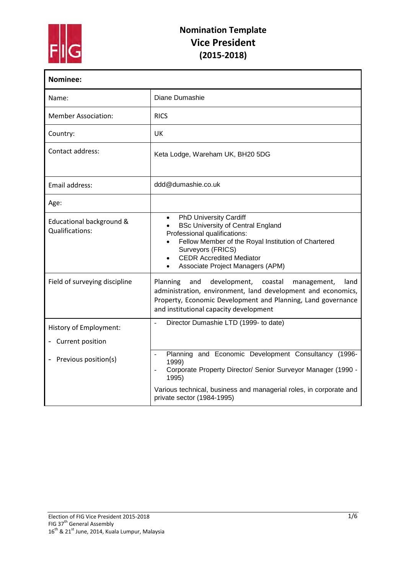

| Nominee:                                           |                                                                                                                                                                                                                                                                                                     |  |  |  |
|----------------------------------------------------|-----------------------------------------------------------------------------------------------------------------------------------------------------------------------------------------------------------------------------------------------------------------------------------------------------|--|--|--|
| Name:                                              | Diane Dumashie                                                                                                                                                                                                                                                                                      |  |  |  |
| <b>Member Association:</b>                         | <b>RICS</b>                                                                                                                                                                                                                                                                                         |  |  |  |
| Country:                                           | UK                                                                                                                                                                                                                                                                                                  |  |  |  |
| Contact address:                                   | Keta Lodge, Wareham UK, BH20 5DG                                                                                                                                                                                                                                                                    |  |  |  |
| Email address:                                     | ddd@dumashie.co.uk                                                                                                                                                                                                                                                                                  |  |  |  |
| Age:                                               |                                                                                                                                                                                                                                                                                                     |  |  |  |
| Educational background &<br><b>Qualifications:</b> | <b>PhD University Cardiff</b><br>$\bullet$<br><b>BSc University of Central England</b><br>$\bullet$<br>Professional qualifications:<br>Fellow Member of the Royal Institution of Chartered<br>$\bullet$<br>Surveyors (FRICS)<br><b>CEDR Accredited Mediator</b><br>Associate Project Managers (APM) |  |  |  |
| Field of surveying discipline                      | Planning<br>and<br>development, coastal<br>land<br>management,<br>administration, environment, land development and economics,<br>Property, Economic Development and Planning, Land governance<br>and institutional capacity development                                                            |  |  |  |
| History of Employment:                             | Director Dumashie LTD (1999- to date)                                                                                                                                                                                                                                                               |  |  |  |
| - Current position                                 |                                                                                                                                                                                                                                                                                                     |  |  |  |
| Previous position(s)<br>$\overline{\phantom{0}}$   | Planning and Economic Development Consultancy (1996-<br>$\overline{a}$<br>1999)<br>Corporate Property Director/ Senior Surveyor Manager (1990 -<br>1995)                                                                                                                                            |  |  |  |
|                                                    | Various technical, business and managerial roles, in corporate and<br>private sector (1984-1995)                                                                                                                                                                                                    |  |  |  |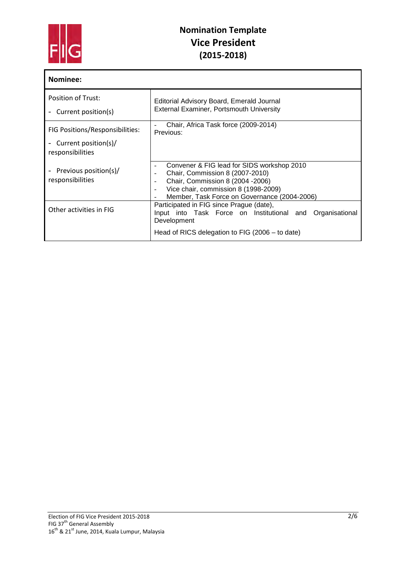

| Nominee:                                         |                                                                                                                                                                                                            |  |  |  |
|--------------------------------------------------|------------------------------------------------------------------------------------------------------------------------------------------------------------------------------------------------------------|--|--|--|
| <b>Position of Trust:</b><br>Current position(s) | Editorial Advisory Board, Emerald Journal<br><b>External Examiner, Portsmouth University</b>                                                                                                               |  |  |  |
| FIG Positions/Responsibilities:                  | Chair, Africa Task force (2009-2014)<br>Previous:                                                                                                                                                          |  |  |  |
| Current position(s)/<br>responsibilities         |                                                                                                                                                                                                            |  |  |  |
| Previous position(s)/<br>responsibilities        | Convener & FIG lead for SIDS workshop 2010<br>Chair, Commission 8 (2007-2010)<br>Chair, Commission 8 (2004 - 2006)<br>Vice chair, commission 8 (1998-2009)<br>Member, Task Force on Governance (2004-2006) |  |  |  |
| Other activities in FIG                          | Participated in FIG since Prague (date),<br>Input into Task Force on Institutional and<br>Organisational<br>Development                                                                                    |  |  |  |
|                                                  | Head of RICS delegation to FIG (2006 - to date)                                                                                                                                                            |  |  |  |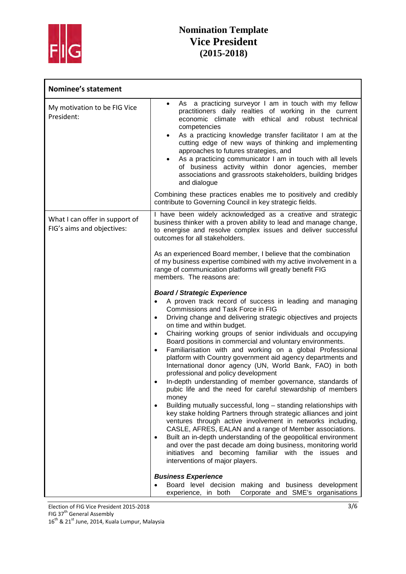

| <b>Nominee's statement</b>                                   |                                                                                                                                                                                                                                                                                                                                                                                                                                                                                                                                                                                                                                                                                                                                                                                                                                                                                                                                                                                                                                                                                                                                                                                                                                                                                                                                  |  |  |
|--------------------------------------------------------------|----------------------------------------------------------------------------------------------------------------------------------------------------------------------------------------------------------------------------------------------------------------------------------------------------------------------------------------------------------------------------------------------------------------------------------------------------------------------------------------------------------------------------------------------------------------------------------------------------------------------------------------------------------------------------------------------------------------------------------------------------------------------------------------------------------------------------------------------------------------------------------------------------------------------------------------------------------------------------------------------------------------------------------------------------------------------------------------------------------------------------------------------------------------------------------------------------------------------------------------------------------------------------------------------------------------------------------|--|--|
| My motivation to be FIG Vice<br>President:                   | As a practicing surveyor I am in touch with my fellow<br>practitioners daily realties of working in the current<br>economic climate with ethical and robust technical<br>competencies<br>As a practicing knowledge transfer facilitator I am at the<br>cutting edge of new ways of thinking and implementing<br>approaches to futures strategies, and<br>As a practicing communicator I am in touch with all levels<br>of business activity within donor agencies, member<br>associations and grassroots stakeholders, building bridges<br>and dialogue<br>Combining these practices enables me to positively and credibly<br>contribute to Governing Council in key strategic fields.                                                                                                                                                                                                                                                                                                                                                                                                                                                                                                                                                                                                                                           |  |  |
| What I can offer in support of<br>FIG's aims and objectives: | I have been widely acknowledged as a creative and strategic<br>business thinker with a proven ability to lead and manage change,<br>to energise and resolve complex issues and deliver successful<br>outcomes for all stakeholders.                                                                                                                                                                                                                                                                                                                                                                                                                                                                                                                                                                                                                                                                                                                                                                                                                                                                                                                                                                                                                                                                                              |  |  |
|                                                              | As an experienced Board member, I believe that the combination<br>of my business expertise combined with my active involvement in a<br>range of communication platforms will greatly benefit FIG<br>members. The reasons are:                                                                                                                                                                                                                                                                                                                                                                                                                                                                                                                                                                                                                                                                                                                                                                                                                                                                                                                                                                                                                                                                                                    |  |  |
|                                                              | <b>Board / Strategic Experience</b><br>A proven track record of success in leading and managing<br>$\bullet$<br>Commissions and Task Force in FIG<br>Driving change and delivering strategic objectives and projects<br>$\bullet$<br>on time and within budget.<br>Chairing working groups of senior individuals and occupying<br>$\bullet$<br>Board positions in commercial and voluntary environments.<br>Familiarisation with and working on a global Professional<br>$\bullet$<br>platform with Country government aid agency departments and<br>International donor agency (UN, World Bank, FAO) in both<br>professional and policy development<br>In-depth understanding of member governance, standards of<br>pubic life and the need for careful stewardship of members<br>money<br>Building mutually successful, long - standing relationships with<br>٠<br>key stake holding Partners through strategic alliances and joint<br>ventures through active involvement in networks including,<br>CASLE, AFRES, EALAN and a range of Member associations.<br>Built an in-depth understanding of the geopolitical environment<br>٠<br>and over the past decade am doing business, monitoring world<br>initiatives and becoming familiar with the issues and<br>interventions of major players.<br><b>Business Experience</b> |  |  |
|                                                              | Board level decision making and business development<br>Corporate and SME's organisations<br>experience, in both                                                                                                                                                                                                                                                                                                                                                                                                                                                                                                                                                                                                                                                                                                                                                                                                                                                                                                                                                                                                                                                                                                                                                                                                                 |  |  |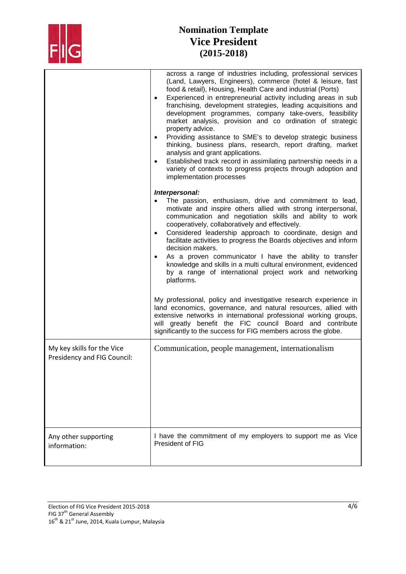

# **Nomination Template Vice President (2015-2018)**

|                                                           | across a range of industries including, professional services<br>(Land, Lawyers, Engineers), commerce (hotel & leisure, fast<br>food & retail), Housing, Health Care and industrial (Ports)<br>Experienced in entrepreneurial activity including areas in sub<br>$\bullet$<br>franchising, development strategies, leading acquisitions and<br>development programmes, company take-overs, feasibility<br>market analysis, provision and co ordination of strategic<br>property advice.<br>Providing assistance to SME's to develop strategic business<br>$\bullet$<br>thinking, business plans, research, report drafting, market<br>analysis and grant applications.<br>Established track record in assimilating partnership needs in a<br>$\bullet$<br>variety of contexts to progress projects through adoption and<br>implementation processes<br>Interpersonal: |
|-----------------------------------------------------------|-----------------------------------------------------------------------------------------------------------------------------------------------------------------------------------------------------------------------------------------------------------------------------------------------------------------------------------------------------------------------------------------------------------------------------------------------------------------------------------------------------------------------------------------------------------------------------------------------------------------------------------------------------------------------------------------------------------------------------------------------------------------------------------------------------------------------------------------------------------------------|
|                                                           | The passion, enthusiasm, drive and commitment to lead,<br>motivate and inspire others allied with strong interpersonal,<br>communication and negotiation skills and ability to work<br>cooperatively, collaboratively and effectively.<br>Considered leadership approach to coordinate, design and<br>$\bullet$<br>facilitate activities to progress the Boards objectives and inform<br>decision makers.<br>As a proven communicator I have the ability to transfer<br>knowledge and skills in a multi cultural environment, evidenced<br>by a range of international project work and networking<br>platforms.                                                                                                                                                                                                                                                      |
|                                                           | My professional, policy and investigative research experience in<br>land economics, governance, and natural resources, allied with<br>extensive networks in international professional working groups,<br>will greatly benefit the FIC council Board and contribute<br>significantly to the success for FIG members across the globe.                                                                                                                                                                                                                                                                                                                                                                                                                                                                                                                                 |
| My key skills for the Vice<br>Presidency and FIG Council: | Communication, people management, internationalism                                                                                                                                                                                                                                                                                                                                                                                                                                                                                                                                                                                                                                                                                                                                                                                                                    |
| Any other supporting<br>information:                      | I have the commitment of my employers to support me as Vice<br>President of FIG                                                                                                                                                                                                                                                                                                                                                                                                                                                                                                                                                                                                                                                                                                                                                                                       |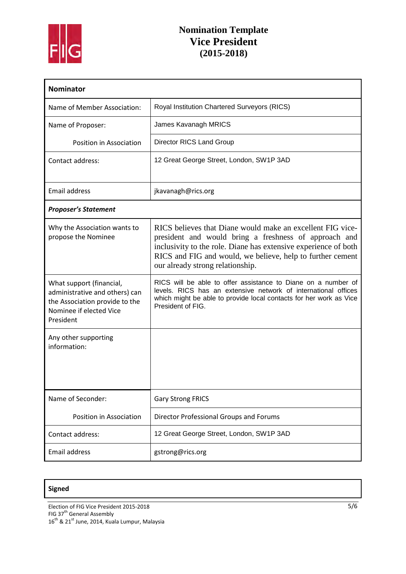

# **Nomination Template Vice President (2015-2018)**

| <b>Nominator</b>                                                                                                                     |                                                                                                                                                                                                                                                                                          |  |  |  |
|--------------------------------------------------------------------------------------------------------------------------------------|------------------------------------------------------------------------------------------------------------------------------------------------------------------------------------------------------------------------------------------------------------------------------------------|--|--|--|
| Name of Member Association:                                                                                                          | Royal Institution Chartered Surveyors (RICS)                                                                                                                                                                                                                                             |  |  |  |
| Name of Proposer:                                                                                                                    | James Kavanagh MRICS                                                                                                                                                                                                                                                                     |  |  |  |
| Position in Association                                                                                                              | <b>Director RICS Land Group</b>                                                                                                                                                                                                                                                          |  |  |  |
| Contact address:                                                                                                                     | 12 Great George Street, London, SW1P 3AD                                                                                                                                                                                                                                                 |  |  |  |
| <b>Email address</b>                                                                                                                 | jkavanagh@rics.org                                                                                                                                                                                                                                                                       |  |  |  |
| <b>Proposer's Statement</b>                                                                                                          |                                                                                                                                                                                                                                                                                          |  |  |  |
| Why the Association wants to<br>propose the Nominee                                                                                  | RICS believes that Diane would make an excellent FIG vice-<br>president and would bring a freshness of approach and<br>inclusivity to the role. Diane has extensive experience of both<br>RICS and FIG and would, we believe, help to further cement<br>our already strong relationship. |  |  |  |
| What support (financial,<br>administrative and others) can<br>the Association provide to the<br>Nominee if elected Vice<br>President | RICS will be able to offer assistance to Diane on a number of<br>levels. RICS has an extensive network of international offices<br>which might be able to provide local contacts for her work as Vice<br>President of FIG.                                                               |  |  |  |
| Any other supporting<br>information:                                                                                                 |                                                                                                                                                                                                                                                                                          |  |  |  |
| Name of Seconder:                                                                                                                    | <b>Gary Strong FRICS</b>                                                                                                                                                                                                                                                                 |  |  |  |
| Position in Association                                                                                                              | Director Professional Groups and Forums                                                                                                                                                                                                                                                  |  |  |  |
| Contact address:                                                                                                                     | 12 Great George Street, London, SW1P 3AD                                                                                                                                                                                                                                                 |  |  |  |
| Email address                                                                                                                        | gstrong@rics.org                                                                                                                                                                                                                                                                         |  |  |  |

### **Signed**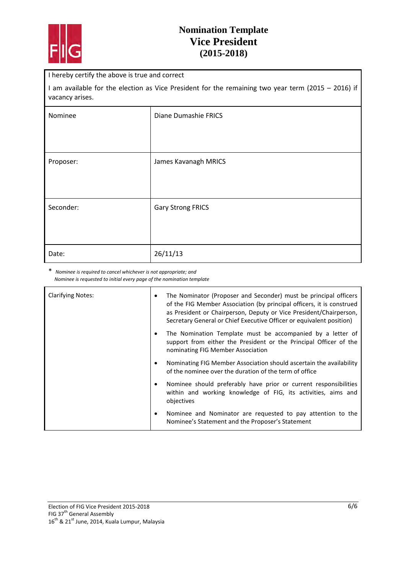

### **Nomination Template Vice President (2015-2018)**

I hereby certify the above is true and correct

I am available for the election as Vice President for the remaining two year term (2015 – 2016) if vacancy arises.

| Nominee   | Diane Dumashie FRICS     |  |
|-----------|--------------------------|--|
|           |                          |  |
| Proposer: | James Kavanagh MRICS     |  |
|           |                          |  |
| Seconder: | <b>Gary Strong FRICS</b> |  |
|           |                          |  |
| Date:     | 26/11/13                 |  |

\* *Nominee is required to cancel whichever is not appropriate; and Nominee is requested to initial every page of the nomination template*

| <b>Clarifying Notes:</b> | ٠ | The Nominator (Proposer and Seconder) must be principal officers<br>of the FIG Member Association (by principal officers, it is construed<br>as President or Chairperson, Deputy or Vice President/Chairperson,<br>Secretary General or Chief Executive Officer or equivalent position) |
|--------------------------|---|-----------------------------------------------------------------------------------------------------------------------------------------------------------------------------------------------------------------------------------------------------------------------------------------|
|                          |   | The Nomination Template must be accompanied by a letter of<br>support from either the President or the Principal Officer of the<br>nominating FIG Member Association                                                                                                                    |
|                          |   | Nominating FIG Member Association should ascertain the availability<br>of the nominee over the duration of the term of office                                                                                                                                                           |
|                          | ٠ | Nominee should preferably have prior or current responsibilities<br>within and working knowledge of FIG, its activities, aims and<br>objectives                                                                                                                                         |
|                          | ٠ | Nominee and Nominator are requested to pay attention to the<br>Nominee's Statement and the Proposer's Statement                                                                                                                                                                         |